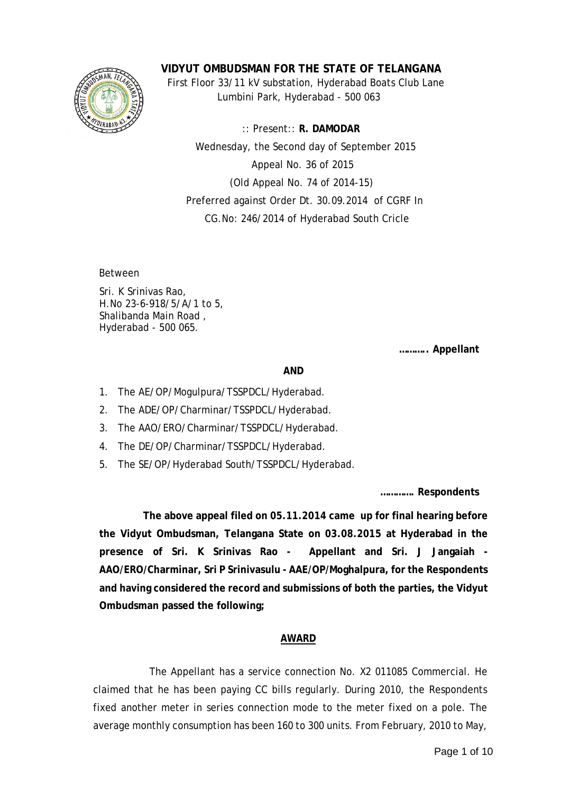

**VIDYUT OMBUDSMAN FOR THE STATE OF TELANGANA**

 First Floor 33/11 kV substation, Hyderabad Boats Club Lane Lumbini Park, Hyderabad - 500 063

 :: Present:: **R. DAMODAR** Wednesday, the Second day of September 2015 Appeal No. 36 of 2015 (Old Appeal No. 74 of 2014-15) Preferred against Order Dt. 30.09.2014 of CGRF In CG.No: 246/2014 of Hyderabad South Cricle

Between

Sri. K Srinivas Rao, H.No 23-6-918/5/A/1 to 5, Shalibanda Main Road , Hyderabad - 500 065.

**……….. Appellant**

## **AND**

- 1. The AE/OP/Mogulpura/TSSPDCL/Hyderabad.
- 2. The ADE/OP/Charminar/TSSPDCL/Hyderabad.
- 3. The AAO/ERO/Charminar/TSSPDCL/Hyderabad.
- 4. The DE/OP/Charminar/TSSPDCL/Hyderabad.
- 5. The SE/OP/Hyderabad South/TSSPDCL/Hyderabad.

**…………. Respondents**

 **The above appeal filed on 05.11.2014 came up for final hearing before the Vidyut Ombudsman, Telangana State on 03.08.2015 at Hyderabad in the presence of Sri. K Srinivas Rao - Appellant and Sri. J Jangaiah - AAO/ERO/Charminar, Sri P Srinivasulu - AAE/OP/Moghalpura, for the Respondents and having considered the record and submissions of both the parties, the Vidyut Ombudsman passed the following;**

## **AWARD**

The Appellant has a service connection No. X2 011085 Commercial. He claimed that he has been paying CC bills regularly. During 2010, the Respondents fixed another meter in series connection mode to the meter fixed on a pole. The average monthly consumption has been 160 to 300 units. From February, 2010 to May,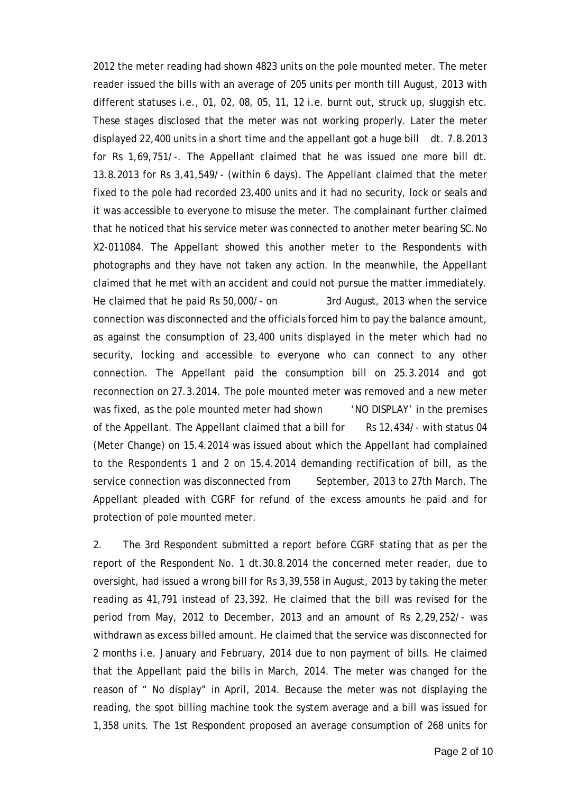2012 the meter reading had shown 4823 units on the pole mounted meter. The meter reader issued the bills with an average of 205 units per month till August, 2013 with different statuses i.e., 01, 02, 08, 05, 11, 12 i.e. burnt out, struck up, sluggish etc. These stages disclosed that the meter was not working properly. Later the meter displayed 22,400 units in a short time and the appellant got a huge bill dt. 7.8.2013 for Rs 1,69,751/-. The Appellant claimed that he was issued one more bill dt. 13.8.2013 for Rs 3,41,549/- (within 6 days). The Appellant claimed that the meter fixed to the pole had recorded 23,400 units and it had no security, lock or seals and it was accessible to everyone to misuse the meter. The complainant further claimed that he noticed that his service meter was connected to another meter bearing SC.No X2-011084. The Appellant showed this another meter to the Respondents with photographs and they have not taken any action. In the meanwhile, the Appellant claimed that he met with an accident and could not pursue the matter immediately. He claimed that he paid Rs 50,000/- on 3rd August, 2013 when the service connection was disconnected and the officials forced him to pay the balance amount, as against the consumption of 23,400 units displayed in the meter which had no security, locking and accessible to everyone who can connect to any other connection. The Appellant paid the consumption bill on 25.3.2014 and got reconnection on 27.3.2014. The pole mounted meter was removed and a new meter was fixed, as the pole mounted meter had shown 'NO DISPLAY' in the premises of the Appellant. The Appellant claimed that a bill for Rs 12,434/- with status 04 (Meter Change) on 15.4.2014 was issued about which the Appellant had complained to the Respondents 1 and 2 on 15.4.2014 demanding rectification of bill, as the service connection was disconnected from September, 2013 to 27th March. The Appellant pleaded with CGRF for refund of the excess amounts he paid and for protection of pole mounted meter.

2. The 3rd Respondent submitted a report before CGRF stating that as per the report of the Respondent No. 1 dt.30.8.2014 the concerned meter reader, due to oversight, had issued a wrong bill for Rs 3,39,558 in August, 2013 by taking the meter reading as 41,791 instead of 23,392. He claimed that the bill was revised for the period from May, 2012 to December, 2013 and an amount of Rs 2,29,252/- was withdrawn as excess billed amount. He claimed that the service was disconnected for 2 months i.e. January and February, 2014 due to non payment of bills. He claimed that the Appellant paid the bills in March, 2014. The meter was changed for the reason of " No display" in April, 2014. Because the meter was not displaying the reading, the spot billing machine took the system average and a bill was issued for 1,358 units. The 1st Respondent proposed an average consumption of 268 units for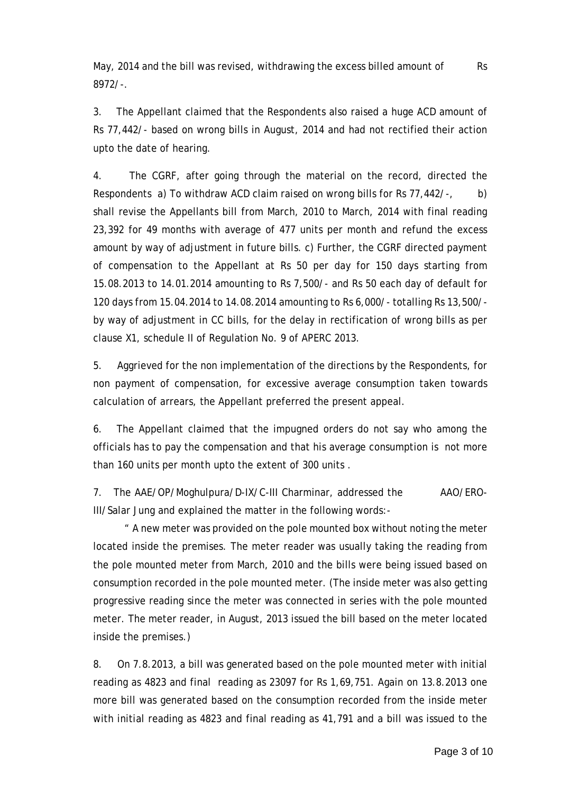May, 2014 and the bill was revised, withdrawing the excess billed amount of Rs 8972/-.

3. The Appellant claimed that the Respondents also raised a huge ACD amount of Rs 77,442/- based on wrong bills in August, 2014 and had not rectified their action upto the date of hearing.

4. The CGRF, after going through the material on the record, directed the Respondents a) To withdraw ACD claim raised on wrong bills for Rs 77,442/-, b) shall revise the Appellants bill from March, 2010 to March, 2014 with final reading 23,392 for 49 months with average of 477 units per month and refund the excess amount by way of adjustment in future bills. c) Further, the CGRF directed payment of compensation to the Appellant at Rs 50 per day for 150 days starting from 15.08.2013 to 14.01.2014 amounting to Rs 7,500/- and Rs 50 each day of default for 120 days from 15.04.2014 to 14.08.2014 amounting to Rs 6,000/- totalling Rs 13,500/ by way of adjustment in CC bills, for the delay in rectification of wrong bills as per clause X1, schedule II of Regulation No. 9 of APERC 2013.

5. Aggrieved for the non implementation of the directions by the Respondents, for non payment of compensation, for excessive average consumption taken towards calculation of arrears, the Appellant preferred the present appeal.

6. The Appellant claimed that the impugned orders do not say who among the officials has to pay the compensation and that his average consumption is not more than 160 units per month upto the extent of 300 units .

7. The AAE/OP/Moghulpura/D-IX/C-III Charminar, addressed the AAO/ERO-III/Salar Jung and explained the matter in the following words:-

 " A new meter was provided on the pole mounted box without noting the meter located inside the premises. The meter reader was usually taking the reading from the pole mounted meter from March, 2010 and the bills were being issued based on consumption recorded in the pole mounted meter. (The inside meter was also getting progressive reading since the meter was connected in series with the pole mounted meter. The meter reader, in August, 2013 issued the bill based on the meter located inside the premises.)

8. On 7.8.2013, a bill was generated based on the pole mounted meter with initial reading as 4823 and final reading as 23097 for Rs 1,69,751. Again on 13.8.2013 one more bill was generated based on the consumption recorded from the inside meter with initial reading as 4823 and final reading as 41,791 and a bill was issued to the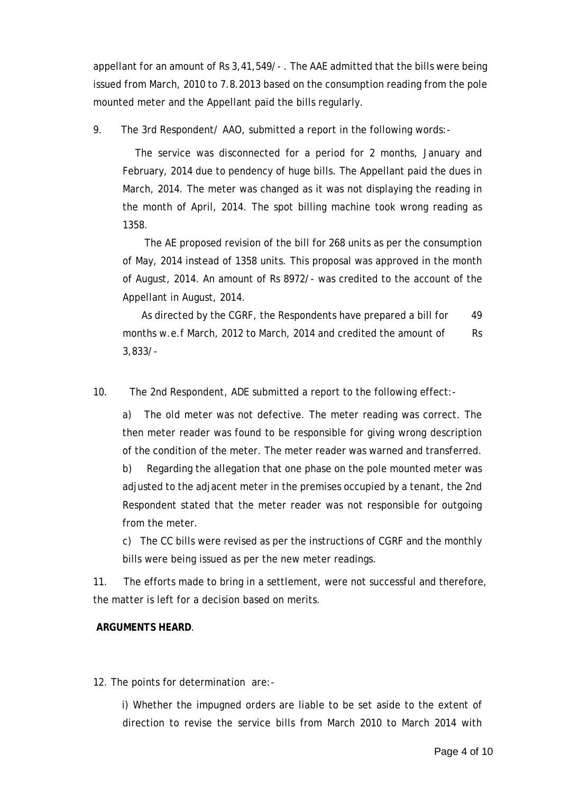appellant for an amount of Rs 3,41,549/- . The AAE admitted that the bills were being issued from March, 2010 to 7.8.2013 based on the consumption reading from the pole mounted meter and the Appellant paid the bills regularly.

9. The 3rd Respondent/ AAO, submitted a report in the following words:-

 The service was disconnected for a period for 2 months, January and February, 2014 due to pendency of huge bills. The Appellant paid the dues in March, 2014. The meter was changed as it was not displaying the reading in the month of April, 2014. The spot billing machine took wrong reading as 1358.

 The AE proposed revision of the bill for 268 units as per the consumption of May, 2014 instead of 1358 units. This proposal was approved in the month of August, 2014. An amount of Rs 8972/- was credited to the account of the Appellant in August, 2014.

As directed by the CGRF, the Respondents have prepared a bill for 49 months w.e.f March, 2012 to March, 2014 and credited the amount of Rs 3,833/-

10. The 2nd Respondent, ADE submitted a report to the following effect:-

a) The old meter was not defective. The meter reading was correct. The then meter reader was found to be responsible for giving wrong description of the condition of the meter. The meter reader was warned and transferred.

b) Regarding the allegation that one phase on the pole mounted meter was adjusted to the adjacent meter in the premises occupied by a tenant, the 2nd Respondent stated that the meter reader was not responsible for outgoing from the meter.

c) The CC bills were revised as per the instructions of CGRF and the monthly bills were being issued as per the new meter readings.

11. The efforts made to bring in a settlement, were not successful and therefore, the matter is left for a decision based on merits.

## **ARGUMENTS HEARD**.

12. The points for determination are:-

 i) Whether the impugned orders are liable to be set aside to the extent of direction to revise the service bills from March 2010 to March 2014 with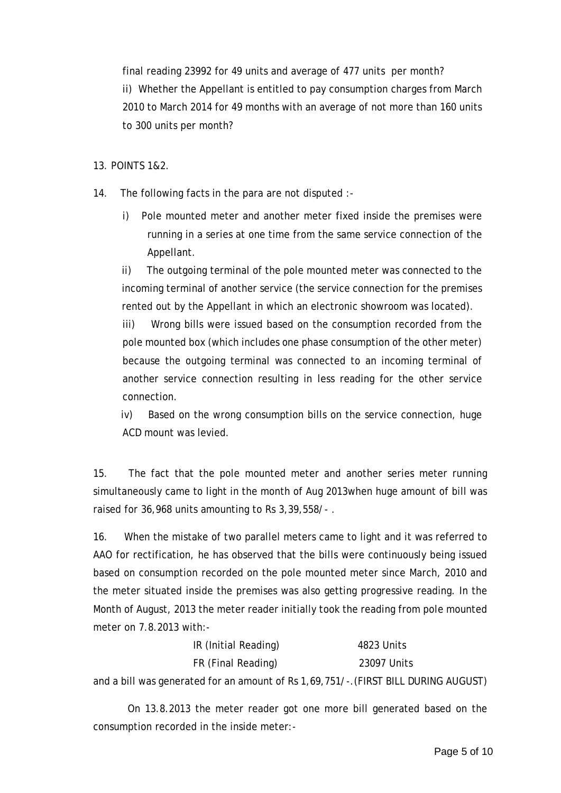final reading 23992 for 49 units and average of 477 units per month? ii) Whether the Appellant is entitled to pay consumption charges from March 2010 to March 2014 for 49 months with an average of not more than 160 units to 300 units per month?

13. POINTS 1&2.

- 14. The following facts in the para are not disputed :
	- i) Pole mounted meter and another meter fixed inside the premises were running in a series at one time from the same service connection of the Appellant.

ii) The outgoing terminal of the pole mounted meter was connected to the incoming terminal of another service (the service connection for the premises rented out by the Appellant in which an electronic showroom was located).

iii) Wrong bills were issued based on the consumption recorded from the pole mounted box (which includes one phase consumption of the other meter) because the outgoing terminal was connected to an incoming terminal of another service connection resulting in less reading for the other service connection.

 iv) Based on the wrong consumption bills on the service connection, huge ACD mount was levied.

15. The fact that the pole mounted meter and another series meter running simultaneously came to light in the month of Aug 2013when huge amount of bill was raised for 36,968 units amounting to Rs 3,39,558/- .

16. When the mistake of two parallel meters came to light and it was referred to AAO for rectification, he has observed that the bills were continuously being issued based on consumption recorded on the pole mounted meter since March, 2010 and the meter situated inside the premises was also getting progressive reading. In the Month of August, 2013 the meter reader initially took the reading from pole mounted meter on  $7.8.2013$  with:

| IR (Initial Reading)                                                                | 4823 Units  |
|-------------------------------------------------------------------------------------|-------------|
| FR (Final Reading)                                                                  | 23097 Units |
| and a bill was generated for an amount of Rs 1,69,751/-. (FIRST BILL DURING AUGUST) |             |

 On 13.8.2013 the meter reader got one more bill generated based on the consumption recorded in the inside meter:-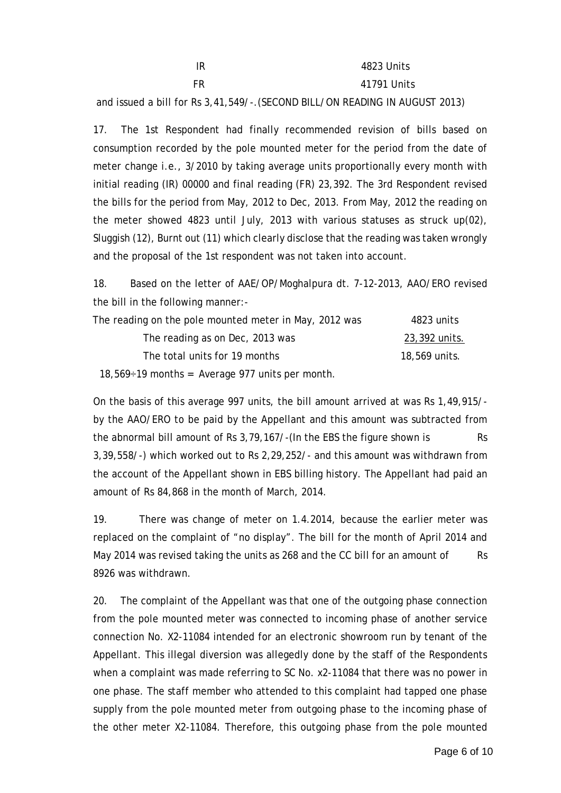| IR | 4823 Units     |
|----|----------------|
| FR | 41791 Units    |
|    | $\blacksquare$ |

and issued a bill for Rs 3,41,549/-.(SECOND BILL/ON READING IN AUGUST 2013)

17. The 1st Respondent had finally recommended revision of bills based on consumption recorded by the pole mounted meter for the period from the date of meter change i.e., 3/2010 by taking average units proportionally every month with initial reading (IR) 00000 and final reading (FR) 23,392. The 3rd Respondent revised the bills for the period from May, 2012 to Dec, 2013. From May, 2012 the reading on the meter showed 4823 until July, 2013 with various statuses as struck up(02), Sluggish (12), Burnt out (11) which clearly disclose that the reading was taken wrongly and the proposal of the 1st respondent was not taken into account.

18. Based on the letter of AAE/OP/Moghalpura dt. 7-12-2013, AAO/ERO revised the bill in the following manner:-

| The reading on the pole mounted meter in May, 2012 was | 4823 units    |
|--------------------------------------------------------|---------------|
| The reading as on Dec, 2013 was                        | 23,392 units. |
| The total units for 19 months                          | 18,569 units. |

18,569 $\div$ 19 months = Average 977 units per month.

On the basis of this average 997 units, the bill amount arrived at was Rs 1,49,915/ by the AAO/ERO to be paid by the Appellant and this amount was subtracted from the abnormal bill amount of Rs  $3,79,167/$ -(In the EBS the figure shown is Rs 3,39,558/-) which worked out to Rs 2,29,252/- and this amount was withdrawn from the account of the Appellant shown in EBS billing history. The Appellant had paid an amount of Rs 84,868 in the month of March, 2014.

19. There was change of meter on 1.4.2014, because the earlier meter was replaced on the complaint of "no display". The bill for the month of April 2014 and May 2014 was revised taking the units as 268 and the CC bill for an amount of Rs 8926 was withdrawn.

20. The complaint of the Appellant was that one of the outgoing phase connection from the pole mounted meter was connected to incoming phase of another service connection No. X2-11084 intended for an electronic showroom run by tenant of the Appellant. This illegal diversion was allegedly done by the staff of the Respondents when a complaint was made referring to SC No. x2-11084 that there was no power in one phase. The staff member who attended to this complaint had tapped one phase supply from the pole mounted meter from outgoing phase to the incoming phase of the other meter X2-11084. Therefore, this outgoing phase from the pole mounted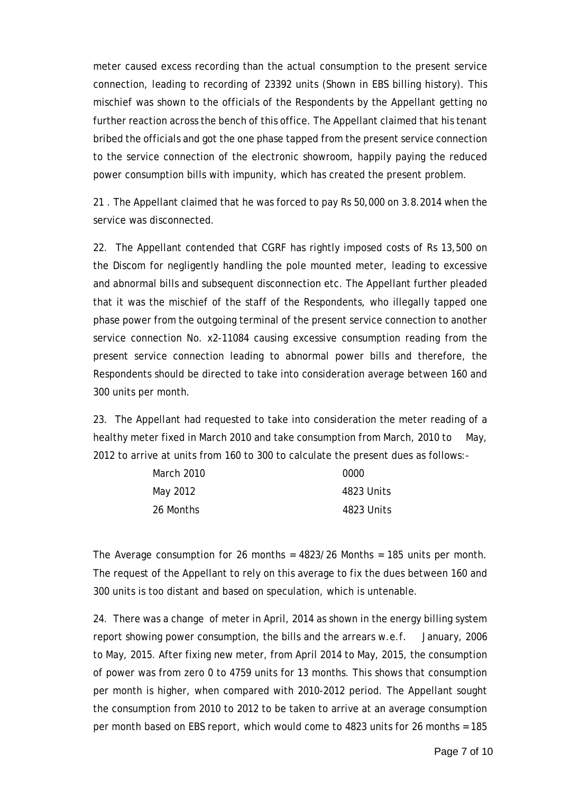meter caused excess recording than the actual consumption to the present service connection, leading to recording of 23392 units (Shown in EBS billing history). This mischief was shown to the officials of the Respondents by the Appellant getting no further reaction across the bench of this office. The Appellant claimed that his tenant bribed the officials and got the one phase tapped from the present service connection to the service connection of the electronic showroom, happily paying the reduced power consumption bills with impunity, which has created the present problem.

21 . The Appellant claimed that he was forced to pay Rs 50,000 on 3.8.2014 when the service was disconnected.

22. The Appellant contended that CGRF has rightly imposed costs of Rs 13,500 on the Discom for negligently handling the pole mounted meter, leading to excessive and abnormal bills and subsequent disconnection etc. The Appellant further pleaded that it was the mischief of the staff of the Respondents, who illegally tapped one phase power from the outgoing terminal of the present service connection to another service connection No. x2-11084 causing excessive consumption reading from the present service connection leading to abnormal power bills and therefore, the Respondents should be directed to take into consideration average between 160 and 300 units per month.

23. The Appellant had requested to take into consideration the meter reading of a healthy meter fixed in March 2010 and take consumption from March, 2010 to May, 2012 to arrive at units from 160 to 300 to calculate the present dues as follows:-

| March 2010 | 0000       |
|------------|------------|
| May 2012   | 4823 Units |
| 26 Months  | 4823 Units |

The Average consumption for 26 months = 4823/26 Months = 185 units per month. The request of the Appellant to rely on this average to fix the dues between 160 and 300 units is too distant and based on speculation, which is untenable.

24. There was a change of meter in April, 2014 as shown in the energy billing system report showing power consumption, the bills and the arrears w.e.f. January, 2006 to May, 2015. After fixing new meter, from April 2014 to May, 2015, the consumption of power was from zero 0 to 4759 units for 13 months. This shows that consumption per month is higher, when compared with 2010-2012 period. The Appellant sought the consumption from 2010 to 2012 to be taken to arrive at an average consumption per month based on EBS report, which would come to 4823 units for 26 months = 185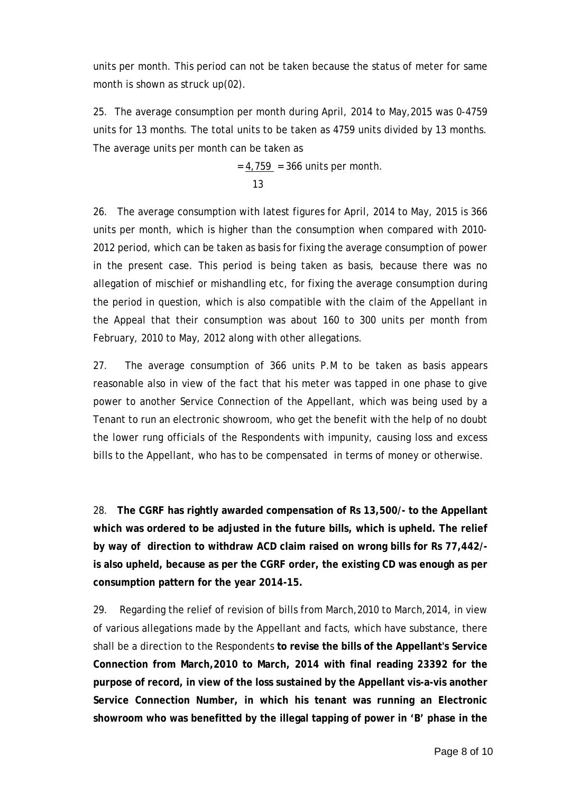units per month. This period can not be taken because the status of meter for same month is shown as struck up(02).

25. The average consumption per month during April, 2014 to May,2015 was 0-4759 units for 13 months. The total units to be taken as 4759 units divided by 13 months. The average units per month can be taken as

 $= 4,759 = 366$  units per month.  $13$ 

26. The average consumption with latest figures for April, 2014 to May, 2015 is 366 units per month, which is higher than the consumption when compared with 2010- 2012 period, which can be taken as basis for fixing the average consumption of power in the present case. This period is being taken as basis, because there was no allegation of mischief or mishandling etc, for fixing the average consumption during the period in question, which is also compatible with the claim of the Appellant in the Appeal that their consumption was about 160 to 300 units per month from February, 2010 to May, 2012 along with other allegations.

27. The average consumption of 366 units P.M to be taken as basis appears reasonable also in view of the fact that his meter was tapped in one phase to give power to another Service Connection of the Appellant, which was being used by a Tenant to run an electronic showroom, who get the benefit with the help of no doubt the lower rung officials of the Respondents with impunity, causing loss and excess bills to the Appellant, who has to be compensated in terms of money or otherwise.

28. **The CGRF has rightly awarded compensation of Rs 13,500/- to the Appellant which was ordered to be adjusted in the future bills, which is upheld. The relief by way of direction to withdraw ACD claim raised on wrong bills for Rs 77,442/ is also upheld, because as per the CGRF order, the existing CD was enough as per consumption pattern for the year 2014-15.**

29. Regarding the relief of revision of bills from March,2010 to March,2014, in view of various allegations made by the Appellant and facts, which have substance, there shall be a direction to the Respondents **to revise the bills of the Appellant's Service Connection from March,2010 to March, 2014 with final reading 23392 for the purpose of record, in view of the loss sustained by the Appellant vis-a-vis another Service Connection Number, in which his tenant was running an Electronic showroom who was benefitted by the illegal tapping of power in 'B' phase in the**